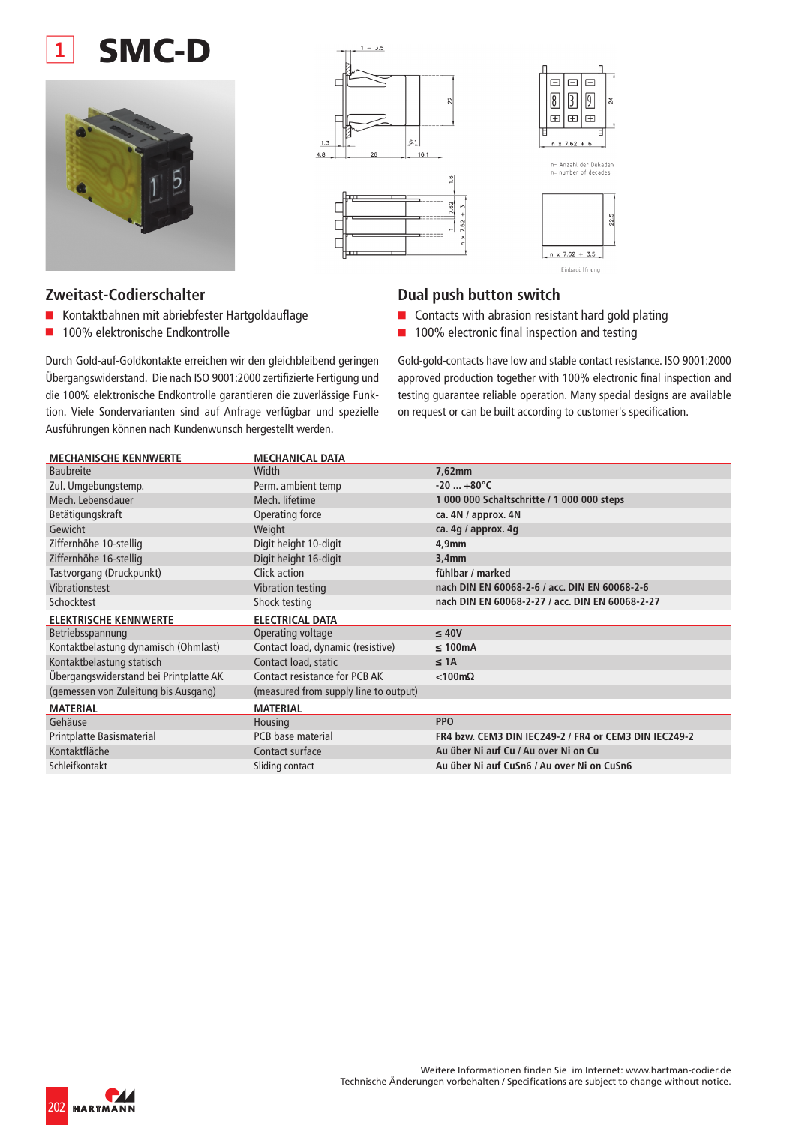## **SMC-D**





### **Zweitast-Codierschalter**

- Kontaktbahnen mit abriebfester Hartgoldauflage
- 100% elektronische Endkontrolle

Durch Gold-auf-Goldkontakte erreichen wir den gleichbleibend geringen Übergangswiderstand. Die nach ISO 9001:2000 zertifizierte Fertigung und die 100% elektronische Endkontrolle garantieren die zuverlässige Funktion. Viele Sondervarianten sind auf Anfrage verfügbar und spezielle Ausführungen können nach Kundenwunsch hergestellt werden.

### **Dual push button switch**

- Contacts with abrasion resistant hard gold plating
- 100% electronic final inspection and testing

Gold-gold-contacts have low and stable contact resistance. ISO 9001:2000 approved production together with 100% electronic final inspection and testing guarantee reliable operation. Many special designs are available on request or can be built according to customer's specification.

22.5

| <b>MECHANISCHE KENNWERTE</b>           | <b>MECHANICAL DATA</b>                |                                                       |
|----------------------------------------|---------------------------------------|-------------------------------------------------------|
| <b>Baubreite</b>                       | Width                                 | 7,62mm                                                |
| Zul. Umgebungstemp.                    | Perm. ambient temp                    | $-20+80^{\circ}C$                                     |
| Mech. Lebensdauer                      | Mech. lifetime                        | 1 000 000 Schaltschritte / 1 000 000 steps            |
| Betätigungskraft                       | Operating force                       | ca. 4N / approx. 4N                                   |
| Gewicht                                | Weight                                | ca. 4g / approx. 4g                                   |
| Ziffernhöhe 10-stellig                 | Digit height 10-digit                 | 4,9mm                                                 |
| Ziffernhöhe 16-stellig                 | Digit height 16-digit                 | 3,4mm                                                 |
| Tastvorgang (Druckpunkt)               | Click action                          | fühlbar / marked                                      |
| Vibrationstest                         | Vibration testing                     | nach DIN EN 60068-2-6 / acc. DIN EN 60068-2-6         |
| Schocktest                             | Shock testing                         | nach DIN EN 60068-2-27 / acc. DIN EN 60068-2-27       |
|                                        |                                       |                                                       |
| <b>ELEKTRISCHE KENNWERTE</b>           | <b>ELECTRICAL DATA</b>                |                                                       |
| Betriebsspannung                       | Operating voltage                     | $\leq 40V$                                            |
| Kontaktbelastung dynamisch (Ohmlast)   | Contact load, dynamic (resistive)     | $\leq 100$ mA                                         |
| Kontaktbelastung statisch              | Contact load, static                  | $\leq$ 1A                                             |
| Übergangswiderstand bei Printplatte AK | Contact resistance for PCB AK         | $< 100 \text{m}\Omega$                                |
| (gemessen von Zuleitung bis Ausgang)   | (measured from supply line to output) |                                                       |
| <b>MATERIAL</b>                        | <b>MATERIAL</b>                       |                                                       |
| Gehäuse                                | Housing                               | <b>PPO</b>                                            |
| Printplatte Basismaterial              | PCB base material                     | FR4 bzw. CEM3 DIN IEC249-2 / FR4 or CEM3 DIN IEC249-2 |
| Kontaktfläche                          | Contact surface                       | Au über Ni auf Cu / Au over Ni on Cu                  |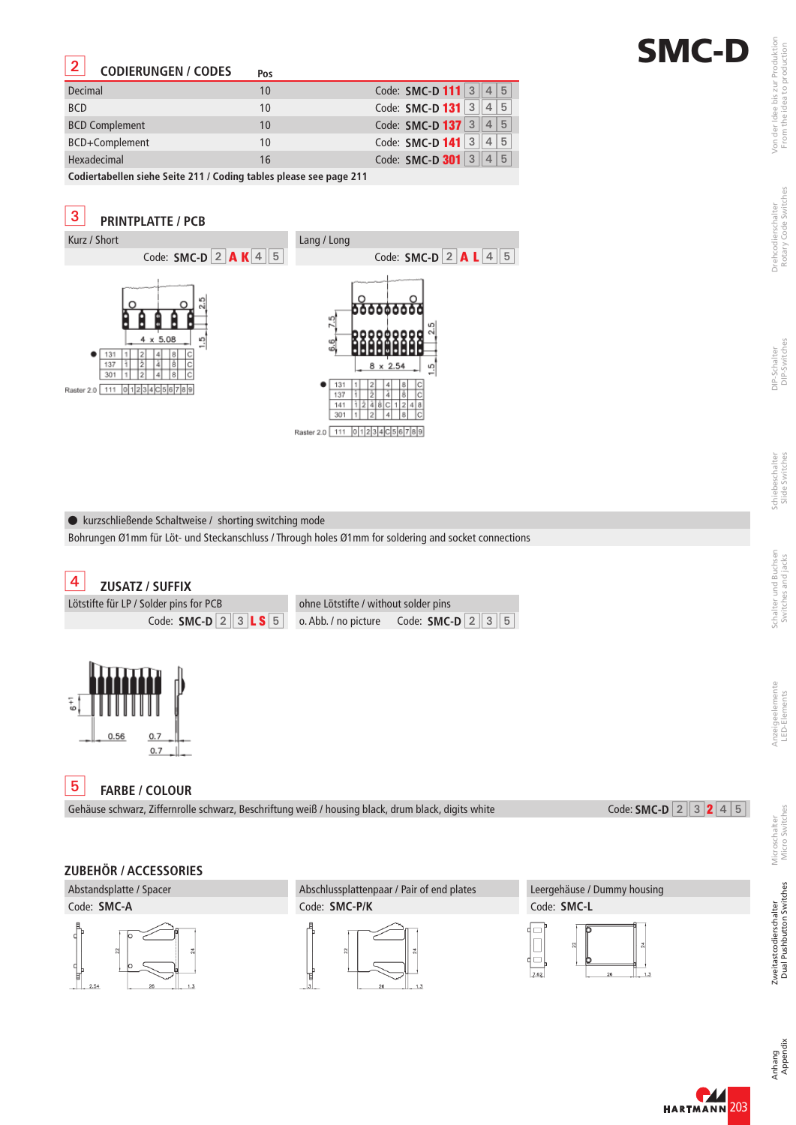# **SMC-D**

#### **CODIERUNGEN / CODES**

-

| Decimal                                                            | 10 | Code: SMC-D 111 3 4 5        |  |  |
|--------------------------------------------------------------------|----|------------------------------|--|--|
| <b>BCD</b>                                                         | 10 | Code: SMC-D 131 3 4 5        |  |  |
| <b>BCD Complement</b>                                              | 10 | Code: SMC-D 137 3 4 5        |  |  |
| BCD+Complement                                                     | 10 | Code: SMC-D 141 3 4 5        |  |  |
| Hexadecimal                                                        | 16 | Code: <b>SMC-D 301</b> 3 4 5 |  |  |
| Cadicuteballan siska Caita 344   Cadina teklas planes saa papa 344 |    |                              |  |  |

**Codiertabellen siehe Seite 211 / Coding tables please see page 211**



kurzschließende Schaltweise / shorting switching mode

Bohrungen Ø1mm für Löt- und Steckanschluss / Through holes Ø1mm for soldering and socket connections

Gehäuse schwarz, Ziffernrolle schwarz, Beschriftung weiß / housing black, drum black, digits white



### **ZUBEHÖR / ACCESSORIES**

Abstandsplatte / Spacer Code: **SMC-A**



Abschlussplattenpaar / Pair of end plates Code: **SMC-P/K**



Leergehäuse / Dummy housing Code: **SMC-L**